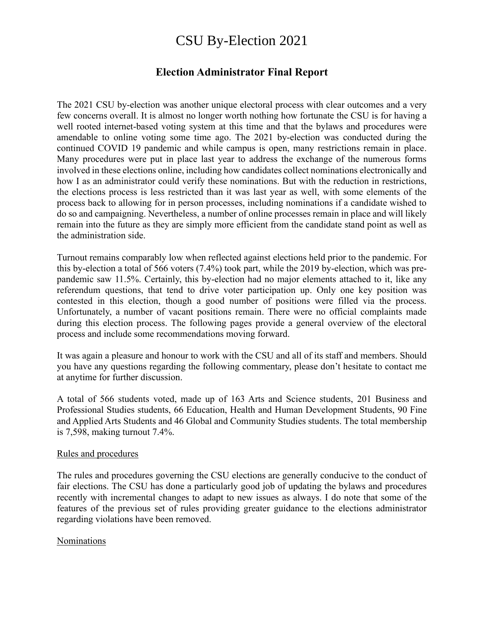# CSU By-Election 2021

## **Election Administrator Final Report**

The 2021 CSU by-election was another unique electoral process with clear outcomes and a very few concerns overall. It is almost no longer worth nothing how fortunate the CSU is for having a well rooted internet-based voting system at this time and that the bylaws and procedures were amendable to online voting some time ago. The 2021 by-election was conducted during the continued COVID 19 pandemic and while campus is open, many restrictions remain in place. Many procedures were put in place last year to address the exchange of the numerous forms involved in these elections online, including how candidates collect nominations electronically and how I as an administrator could verify these nominations. But with the reduction in restrictions, the elections process is less restricted than it was last year as well, with some elements of the process back to allowing for in person processes, including nominations if a candidate wished to do so and campaigning. Nevertheless, a number of online processes remain in place and will likely remain into the future as they are simply more efficient from the candidate stand point as well as the administration side.

Turnout remains comparably low when reflected against elections held prior to the pandemic. For this by-election a total of 566 voters (7.4%) took part, while the 2019 by-election, which was prepandemic saw 11.5%. Certainly, this by-election had no major elements attached to it, like any referendum questions, that tend to drive voter participation up. Only one key position was contested in this election, though a good number of positions were filled via the process. Unfortunately, a number of vacant positions remain. There were no official complaints made during this election process. The following pages provide a general overview of the electoral process and include some recommendations moving forward.

It was again a pleasure and honour to work with the CSU and all of its staff and members. Should you have any questions regarding the following commentary, please don't hesitate to contact me at anytime for further discussion.

A total of 566 students voted, made up of 163 Arts and Science students, 201 Business and Professional Studies students, 66 Education, Health and Human Development Students, 90 Fine and Applied Arts Students and 46 Global and Community Studies students. The total membership is 7,598, making turnout 7.4%.

#### Rules and procedures

The rules and procedures governing the CSU elections are generally conducive to the conduct of fair elections. The CSU has done a particularly good job of updating the bylaws and procedures recently with incremental changes to adapt to new issues as always. I do note that some of the features of the previous set of rules providing greater guidance to the elections administrator regarding violations have been removed.

#### Nominations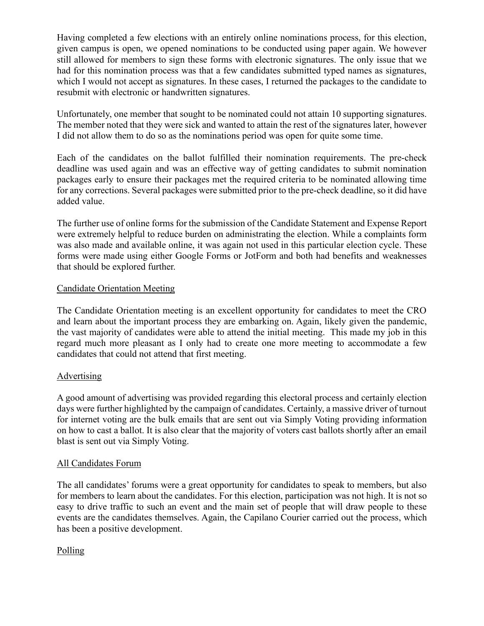Having completed a few elections with an entirely online nominations process, for this election, given campus is open, we opened nominations to be conducted using paper again. We however still allowed for members to sign these forms with electronic signatures. The only issue that we had for this nomination process was that a few candidates submitted typed names as signatures, which I would not accept as signatures. In these cases, I returned the packages to the candidate to resubmit with electronic or handwritten signatures.

Unfortunately, one member that sought to be nominated could not attain 10 supporting signatures. The member noted that they were sick and wanted to attain the rest of the signatures later, however I did not allow them to do so as the nominations period was open for quite some time.

Each of the candidates on the ballot fulfilled their nomination requirements. The pre-check deadline was used again and was an effective way of getting candidates to submit nomination packages early to ensure their packages met the required criteria to be nominated allowing time for any corrections. Several packages were submitted prior to the pre-check deadline, so it did have added value.

The further use of online forms for the submission of the Candidate Statement and Expense Report were extremely helpful to reduce burden on administrating the election. While a complaints form was also made and available online, it was again not used in this particular election cycle. These forms were made using either Google Forms or JotForm and both had benefits and weaknesses that should be explored further.

### Candidate Orientation Meeting

The Candidate Orientation meeting is an excellent opportunity for candidates to meet the CRO and learn about the important process they are embarking on. Again, likely given the pandemic, the vast majority of candidates were able to attend the initial meeting. This made my job in this regard much more pleasant as I only had to create one more meeting to accommodate a few candidates that could not attend that first meeting.

## Advertising

A good amount of advertising was provided regarding this electoral process and certainly election days were further highlighted by the campaign of candidates. Certainly, a massive driver of turnout for internet voting are the bulk emails that are sent out via Simply Voting providing information on how to cast a ballot. It is also clear that the majority of voters cast ballots shortly after an email blast is sent out via Simply Voting.

#### All Candidates Forum

The all candidates' forums were a great opportunity for candidates to speak to members, but also for members to learn about the candidates. For this election, participation was not high. It is not so easy to drive traffic to such an event and the main set of people that will draw people to these events are the candidates themselves. Again, the Capilano Courier carried out the process, which has been a positive development.

## Polling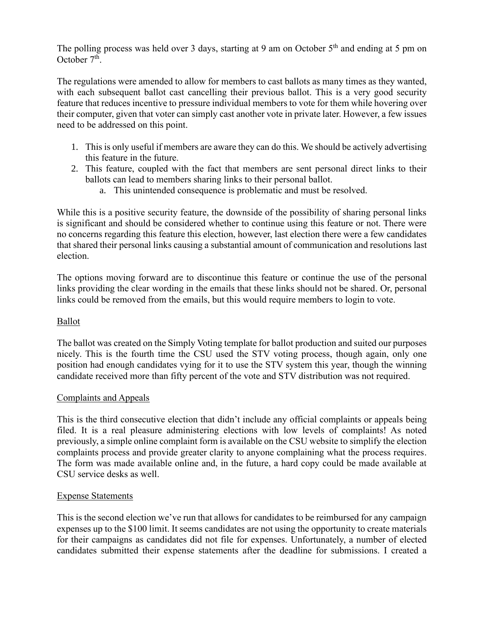The polling process was held over 3 days, starting at 9 am on October  $5<sup>th</sup>$  and ending at 5 pm on October 7<sup>th</sup>.

The regulations were amended to allow for members to cast ballots as many times as they wanted, with each subsequent ballot cast cancelling their previous ballot. This is a very good security feature that reduces incentive to pressure individual members to vote for them while hovering over their computer, given that voter can simply cast another vote in private later. However, a few issues need to be addressed on this point.

- 1. This is only useful if members are aware they can do this. We should be actively advertising this feature in the future.
- 2. This feature, coupled with the fact that members are sent personal direct links to their ballots can lead to members sharing links to their personal ballot.
	- a. This unintended consequence is problematic and must be resolved.

While this is a positive security feature, the downside of the possibility of sharing personal links is significant and should be considered whether to continue using this feature or not. There were no concerns regarding this feature this election, however, last election there were a few candidates that shared their personal links causing a substantial amount of communication and resolutions last election.

The options moving forward are to discontinue this feature or continue the use of the personal links providing the clear wording in the emails that these links should not be shared. Or, personal links could be removed from the emails, but this would require members to login to vote.

## Ballot

The ballot was created on the Simply Voting template for ballot production and suited our purposes nicely. This is the fourth time the CSU used the STV voting process, though again, only one position had enough candidates vying for it to use the STV system this year, though the winning candidate received more than fifty percent of the vote and STV distribution was not required.

#### Complaints and Appeals

This is the third consecutive election that didn't include any official complaints or appeals being filed. It is a real pleasure administering elections with low levels of complaints! As noted previously, a simple online complaint form is available on the CSU website to simplify the election complaints process and provide greater clarity to anyone complaining what the process requires. The form was made available online and, in the future, a hard copy could be made available at CSU service desks as well.

#### Expense Statements

This is the second election we've run that allows for candidates to be reimbursed for any campaign expenses up to the \$100 limit. It seems candidates are not using the opportunity to create materials for their campaigns as candidates did not file for expenses. Unfortunately, a number of elected candidates submitted their expense statements after the deadline for submissions. I created a